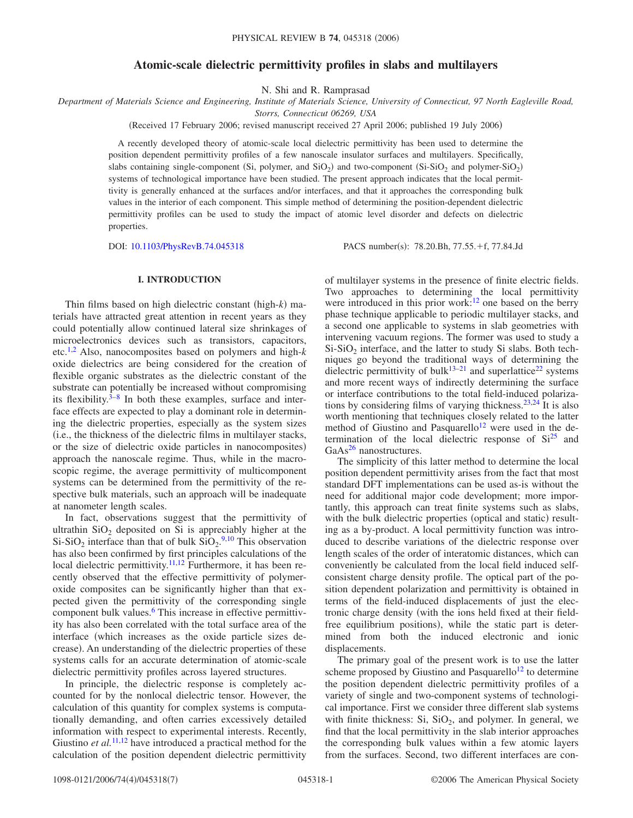# **Atomic-scale dielectric permittivity profiles in slabs and multilayers**

N. Shi and R. Ramprasad

*Department of Materials Science and Engineering, Institute of Materials Science, University of Connecticut, 97 North Eagleville Road,*

*Storrs, Connecticut 06269, USA*

(Received 17 February 2006; revised manuscript received 27 April 2006; published 19 July 2006)

A recently developed theory of atomic-scale local dielectric permittivity has been used to determine the position dependent permittivity profiles of a few nanoscale insulator surfaces and multilayers. Specifically, slabs containing single-component (Si, polymer, and  $SiO_2$ ) and two-component (Si-SiO<sub>2</sub> and polymer-SiO<sub>2</sub>) systems of technological importance have been studied. The present approach indicates that the local permittivity is generally enhanced at the surfaces and/or interfaces, and that it approaches the corresponding bulk values in the interior of each component. This simple method of determining the position-dependent dielectric permittivity profiles can be used to study the impact of atomic level disorder and defects on dielectric properties.

DOI: [10.1103/PhysRevB.74.045318](http://dx.doi.org/10.1103/PhysRevB.74.045318)

PACS number(s): 78.20.Bh, 77.55. +f, 77.84.Jd

## **I. INTRODUCTION**

Thin films based on high dielectric constant (high-*k*) materials have attracted great attention in recent years as they could potentially allow continued lateral size shrinkages of microelectronics devices such as transistors, capacitors, etc[.1](#page-5-0)[,2](#page-5-1) Also, nanocomposites based on polymers and high-*k* oxide dielectrics are being considered for the creation of flexible organic substrates as the dielectric constant of the substrate can potentially be increased without compromising its flexibility. $3-8$  $3-8$  In both these examples, surface and interface effects are expected to play a dominant role in determining the dielectric properties, especially as the system sizes i.e., the thickness of the dielectric films in multilayer stacks, or the size of dielectric oxide particles in nanocomposites) approach the nanoscale regime. Thus, while in the macroscopic regime, the average permittivity of multicomponent systems can be determined from the permittivity of the respective bulk materials, such an approach will be inadequate at nanometer length scales.

In fact, observations suggest that the permittivity of ultrathin  $SiO<sub>2</sub>$  deposited on Si is appreciably higher at the  $Si-SiO<sub>2</sub>$  interface than that of bulk  $SiO<sub>2</sub>.<sup>9,10</sup>$  $SiO<sub>2</sub>.<sup>9,10</sup>$  $SiO<sub>2</sub>.<sup>9,10</sup>$  $SiO<sub>2</sub>.<sup>9,10</sup>$  This observation has also been confirmed by first principles calculations of the local dielectric permittivity.<sup>11,[12](#page-5-7)</sup> Furthermore, it has been recently observed that the effective permittivity of polymeroxide composites can be significantly higher than that expected given the permittivity of the corresponding single component bulk values.<sup>6</sup> This increase in effective permittivity has also been correlated with the total surface area of the interface (which increases as the oxide particle sizes decrease). An understanding of the dielectric properties of these systems calls for an accurate determination of atomic-scale dielectric permittivity profiles across layered structures.

In principle, the dielectric response is completely accounted for by the nonlocal dielectric tensor. However, the calculation of this quantity for complex systems is computationally demanding, and often carries excessively detailed information with respect to experimental interests. Recently, Giustino *et al.*<sup>[11,](#page-5-6)[12](#page-5-7)</sup> have introduced a practical method for the calculation of the position dependent dielectric permittivity

of multilayer systems in the presence of finite electric fields. Two approaches to determining the local permittivity were introduced in this prior work:<sup>12</sup> one based on the berry phase technique applicable to periodic multilayer stacks, and a second one applicable to systems in slab geometries with intervening vacuum regions. The former was used to study a  $Si-SiO<sub>2</sub>$  interface, and the latter to study Si slabs. Both techniques go beyond the traditional ways of determining the dielectric permittivity of bulk<sup>13–[21](#page-5-10)</sup> and superlattice<sup>22</sup> systems and more recent ways of indirectly determining the surface or interface contributions to the total field-induced polariza-tions by considering films of varying thickness.<sup>23,[24](#page-5-13)</sup> It is also worth mentioning that techniques closely related to the latter method of Giustino and Pasquarello<sup>12</sup> were used in the determination of the local dielectric response of  $Si<sup>25</sup>$  and GaAs<sup>26</sup> nanostructures.

The simplicity of this latter method to determine the local position dependent permittivity arises from the fact that most standard DFT implementations can be used as-is without the need for additional major code development; more importantly, this approach can treat finite systems such as slabs, with the bulk dielectric properties (optical and static) resulting as a by-product. A local permittivity function was introduced to describe variations of the dielectric response over length scales of the order of interatomic distances, which can conveniently be calculated from the local field induced selfconsistent charge density profile. The optical part of the position dependent polarization and permittivity is obtained in terms of the field-induced displacements of just the electronic charge density (with the ions held fixed at their fieldfree equilibrium positions), while the static part is determined from both the induced electronic and ionic displacements.

The primary goal of the present work is to use the latter scheme proposed by Giustino and Pasquarello<sup>12</sup> to determine the position dependent dielectric permittivity profiles of a variety of single and two-component systems of technological importance. First we consider three different slab systems with finite thickness: Si,  $SiO<sub>2</sub>$ , and polymer. In general, we find that the local permittivity in the slab interior approaches the corresponding bulk values within a few atomic layers from the surfaces. Second, two different interfaces are con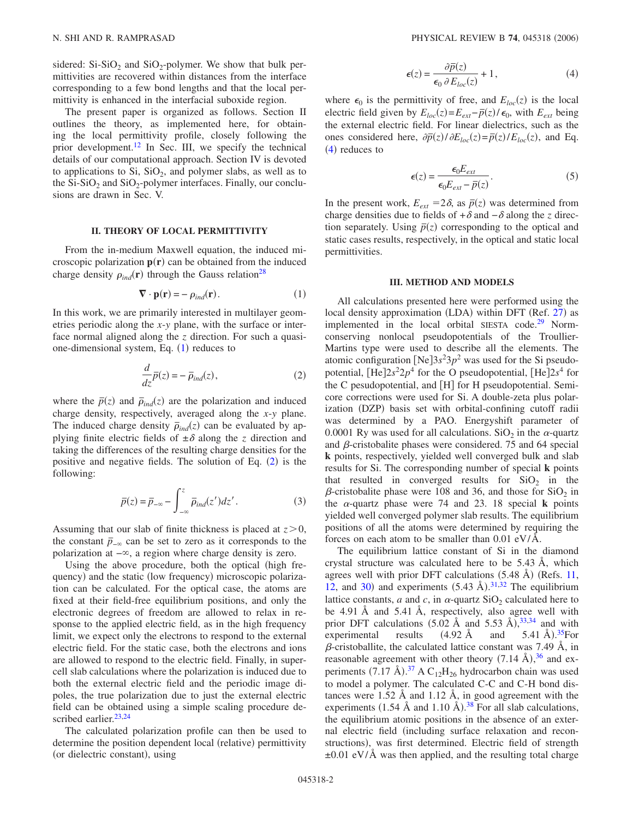sidered:  $Si-SiO<sub>2</sub>$  and  $SiO<sub>2</sub>$ -polymer. We show that bulk permittivities are recovered within distances from the interface corresponding to a few bond lengths and that the local permittivity is enhanced in the interfacial suboxide region.

The present paper is organized as follows. Section II outlines the theory, as implemented here, for obtaining the local permittivity profile, closely following the prior development.<sup>12</sup> In Sec. III, we specify the technical details of our computational approach. Section IV is devoted to applications to Si,  $SiO<sub>2</sub>$ , and polymer slabs, as well as to the  $Si-SiO<sub>2</sub>$  and  $SiO<sub>2</sub>$ -polymer interfaces. Finally, our conclusions are drawn in Sec. V.

#### **II. THEORY OF LOCAL PERMITTIVITY**

From the in-medium Maxwell equation, the induced microscopic polarization  $p(r)$  can be obtained from the induced charge density  $\rho_{ind}(\mathbf{r})$  through the Gauss relation<sup>28</sup>

$$
\nabla \cdot \mathbf{p}(\mathbf{r}) = -\rho_{ind}(\mathbf{r}).\tag{1}
$$

<span id="page-1-0"></span>In this work, we are primarily interested in multilayer geometries periodic along the *x*-*y* plane, with the surface or interface normal aligned along the *z* direction. For such a quasi-one-dimensional system, Eq. ([1](#page-1-0)) reduces to

$$
\frac{d}{dz}\overline{p}(z) = -\overline{\rho}_{ind}(z),\tag{2}
$$

<span id="page-1-1"></span>where the  $\bar{p}(z)$  and  $\bar{p}_{ind}(z)$  are the polarization and induced charge density, respectively, averaged along the *x*-*y* plane. The induced charge density  $\bar{p}_{ind}(z)$  can be evaluated by applying finite electric fields of  $\pm \delta$  along the *z* direction and taking the differences of the resulting charge densities for the positive and negative fields. The solution of Eq.  $(2)$  $(2)$  $(2)$  is the following:

$$
\bar{p}(z) = \bar{p}_{-\infty} - \int_{-\infty}^{z} \bar{p}_{ind}(z')dz'.
$$
 (3)

Assuming that our slab of finite thickness is placed at  $z > 0$ , the constant  $\bar{p}_{-\infty}$  can be set to zero as it corresponds to the polarization at  $-\infty$ , a region where charge density is zero.

Using the above procedure, both the optical (high frequency) and the static (low frequency) microscopic polarization can be calculated. For the optical case, the atoms are fixed at their field-free equilibrium positions, and only the electronic degrees of freedom are allowed to relax in response to the applied electric field, as in the high frequency limit, we expect only the electrons to respond to the external electric field. For the static case, both the electrons and ions are allowed to respond to the electric field. Finally, in supercell slab calculations where the polarization is induced due to both the external electric field and the periodic image dipoles, the true polarization due to just the external electric field can be obtained using a simple scaling procedure de-scribed earlier.<sup>23,[24](#page-5-13)</sup>

The calculated polarization profile can then be used to determine the position dependent local (relative) permittivity (or dielectric constant), using

$$
\epsilon(z) = \frac{\partial \bar{p}(z)}{\epsilon_0 \partial E_{loc}(z)} + 1, \tag{4}
$$

<span id="page-1-2"></span>where  $\epsilon_0$  is the permittivity of free, and  $E_{loc}(z)$  is the local electric field given by  $E_{loc}(z) = E_{ext} - \bar{p}(z) / \epsilon_0$ , with  $E_{ext}$  being the external electric field. For linear dielectrics, such as the ones considered here,  $\partial \bar{p}(z) / \partial E_{loc}(z) = \bar{p}(z) / E_{loc}(z)$ , and Eq.  $(4)$  $(4)$  $(4)$  reduces to

$$
\epsilon(z) = \frac{\epsilon_0 E_{ext}}{\epsilon_0 E_{ext} - \bar{p}(z)}.
$$
\n(5)

<span id="page-1-3"></span>In the present work,  $E_{ext} = 2\delta$ , as  $\bar{p}(z)$  was determined from charge densities due to fields of  $+\delta$  and  $-\delta$  along the *z* direction separately. Using  $\bar{p}(z)$  corresponding to the optical and static cases results, respectively, in the optical and static local permittivities.

#### **III. METHOD AND MODELS**

All calculations presented here were performed using the local density approximation (LDA) within DFT (Ref. [27](#page-5-17)) as implemented in the local orbital SIESTA code.<sup>29</sup> Normconserving nonlocal pseudopotentials of the Troullier-Martins type were used to describe all the elements. The atomic configuration  $[Ne]3s^23p^2$  was used for the Si pseudopotential,  $[He]2s^22p^4$  for the O pseudopotential,  $[He]2s^4$  for the C pesudopotential, and [H] for H pseudopotential. Semicore corrections were used for Si. A double-zeta plus polarization (DZP) basis set with orbital-confining cutoff radii was determined by a PAO. Energyshift parameter of 0.0001 Ry was used for all calculations. SiO<sub>2</sub> in the  $\alpha$ -quartz and  $\beta$ -cristobalite phases were considered. 75 and 64 special **k** points, respectively, yielded well converged bulk and slab results for Si. The corresponding number of special **k** points that resulted in converged results for  $SiO<sub>2</sub>$  in the  $\beta$ -cristobalite phase were 108 and 36, and those for SiO<sub>2</sub> in the  $\alpha$ -quartz phase were 74 and 23. 18 special **k** points yielded well converged polymer slab results. The equilibrium positions of all the atoms were determined by requiring the forces on each atom to be smaller than 0.01 eV/Å.

The equilibrium lattice constant of Si in the diamond crystal structure was calculated here to be 5.43 Å, which agrees well with prior DFT calculations  $(5.48 \text{ Å})$  (Refs. [11,](#page-5-6) [12,](#page-5-7) and [30](#page-5-19)) and experiments  $(5.43 \text{ Å})$ . <sup>[31,](#page-5-20)[32](#page-5-21)</sup> The equilibrium lattice constants, *a* and *c*, in  $\alpha$ -quartz SiO<sub>2</sub> calculated here to be 4.91 Å and 5.41 Å, respectively, also agree well with prior DFT calculations  $(5.02 \text{ Å} \text{ and } 5.53 \text{ Å})$ ,<sup>[33,](#page-5-22)[34](#page-5-23)</sup> and with experimental results  $(4.92 \text{ Å} \text{ and}$ . [35F](#page-5-24)or  $\beta$ -cristoballite, the calculated lattice constant was 7.49 Å, in reasonable agreement with other theory  $(7.14 \text{ Å})$ ,<sup>[36](#page-5-25)</sup> and experiments  $(7.17 \text{ Å})$ .<sup>[37](#page-5-26)</sup> A C<sub>12</sub>H<sub>26</sub> hydrocarbon chain was used to model a polymer. The calculated C-C and C-H bond distances were 1.52 Å and 1.12 Å, in good agreement with the experiments  $(1.54 \text{ Å}$  and  $1.10 \text{ Å})$ .<sup>[38](#page-5-27)</sup> For all slab calculations, the equilibrium atomic positions in the absence of an external electric field including surface relaxation and reconstructions), was first determined. Electric field of strength  $\pm 0.01$  eV/Å was then applied, and the resulting total charge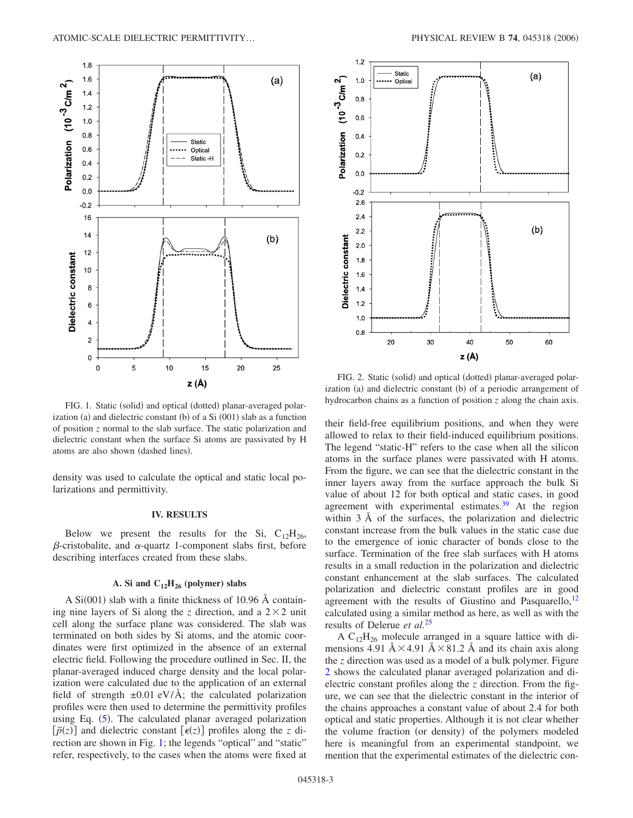<span id="page-2-0"></span>

FIG. 1. Static (solid) and optical (dotted) planar-averaged polarization (a) and dielectric constant (b) of a Si (001) slab as a function of position *z* normal to the slab surface. The static polarization and dielectric constant when the surface Si atoms are passivated by H atoms are also shown (dashed lines).

density was used to calculate the optical and static local polarizations and permittivity.

#### **IV. RESULTS**

Below we present the results for the Si,  $C_{12}H_{26}$ ,  $\beta$ -cristobalite, and  $\alpha$ -quartz 1-component slabs first, before describing interfaces created from these slabs.

### A. Si and  $C_{12}H_{26}$  (polymer) slabs

A  $Si(001)$  slab with a finite thickness of 10.96 Å containing nine layers of Si along the *z* direction, and a  $2 \times 2$  unit cell along the surface plane was considered. The slab was terminated on both sides by Si atoms, and the atomic coordinates were first optimized in the absence of an external electric field. Following the procedure outlined in Sec. II, the planar-averaged induced charge density and the local polarization were calculated due to the application of an external field of strength  $\pm 0.01$  eV/Å; the calculated polarization profiles were then used to determine the permittivity profiles using Eq. ([5](#page-1-3)). The calculated planar averaged polarization  $\overline{p}(z)$  and dielectric constant  $\overline{e}(z)$  profiles along the *z* di-rection are shown in Fig. [1;](#page-2-0) the legends "optical" and "static" refer, respectively, to the cases when the atoms were fixed at

<span id="page-2-1"></span>

FIG. 2. Static (solid) and optical (dotted) planar-averaged polarization (a) and dielectric constant (b) of a periodic arrangement of hydrocarbon chains as a function of position *z* along the chain axis.

their field-free equilibrium positions, and when they were allowed to relax to their field-induced equilibrium positions. The legend "static-H" refers to the case when all the silicon atoms in the surface planes were passivated with H atoms. From the figure, we can see that the dielectric constant in the inner layers away from the surface approach the bulk Si value of about 12 for both optical and static cases, in good agreement with experimental estimates.<sup>39</sup> At the region within 3 Å of the surfaces, the polarization and dielectric constant increase from the bulk values in the static case due to the emergence of ionic character of bonds close to the surface. Termination of the free slab surfaces with H atoms results in a small reduction in the polarization and dielectric constant enhancement at the slab surfaces. The calculated polarization and dielectric constant profiles are in good agreement with the results of Giustino and Pasquarello, $12$ calculated using a similar method as here, as well as with the results of Delerue *et al.*[25](#page-5-14)

A  $C_{12}H_{26}$  molecule arranged in a square lattice with dimensions 4.91  $\AA \times 4.91$   $\AA \times 81.2$  Å and its chain axis along the *z* direction was used as a model of a bulk polymer. Figure [2](#page-2-1) shows the calculated planar averaged polarization and dielectric constant profiles along the *z* direction. From the figure, we can see that the dielectric constant in the interior of the chains approaches a constant value of about 2.4 for both optical and static properties. Although it is not clear whether the volume fraction (or density) of the polymers modeled here is meaningful from an experimental standpoint, we mention that the experimental estimates of the dielectric con-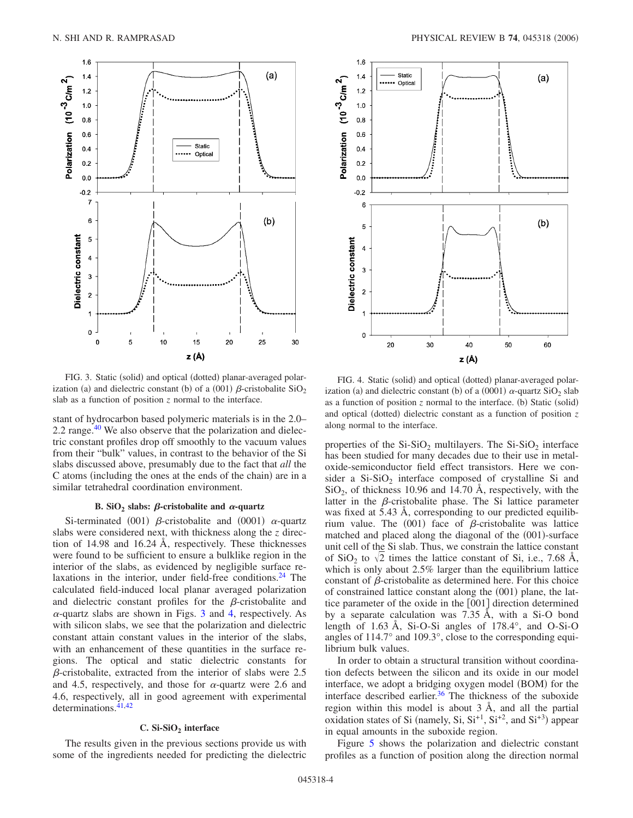<span id="page-3-0"></span>

<span id="page-3-1"></span>

FIG. 3. Static (solid) and optical (dotted) planar-averaged polarization (a) and dielectric constant (b) of a (001)  $\beta$ -cristobalite SiO<sub>2</sub> slab as a function of position *z* normal to the interface.

stant of hydrocarbon based polymeric materials is in the 2.0– 2.2 range. $40$  We also observe that the polarization and dielectric constant profiles drop off smoothly to the vacuum values from their "bulk" values, in contrast to the behavior of the Si slabs discussed above, presumably due to the fact that *all* the C atoms (including the ones at the ends of the chain) are in a similar tetrahedral coordination environment.

## **B.** SiO<sub>2</sub> slabs:  $\beta$ -cristobalite and  $\alpha$ -quartz

Si-terminated (001)  $\beta$ -cristobalite and (0001)  $\alpha$ -quartz slabs were considered next, with thickness along the *z* direction of 14.98 and 16.24 Å, respectively. These thicknesses were found to be sufficient to ensure a bulklike region in the interior of the slabs, as evidenced by negligible surface relaxations in the interior, under field-free conditions.<sup>24</sup> The calculated field-induced local planar averaged polarization and dielectric constant profiles for the  $\beta$ -cristobalite and  $\alpha$ -quartz slabs are shown in Figs. [3](#page-3-0) and [4,](#page-3-1) respectively. As with silicon slabs, we see that the polarization and dielectric constant attain constant values in the interior of the slabs, with an enhancement of these quantities in the surface regions. The optical and static dielectric constants for  $\beta$ -cristobalite, extracted from the interior of slabs were 2.5 and 4.5, respectively, and those for  $\alpha$ -quartz were 2.6 and 4.6, respectively, all in good agreement with experimental determinations. $41,42$  $41,42$ 

#### **C. Si-SiO2 interface**

The results given in the previous sections provide us with some of the ingredients needed for predicting the dielectric

FIG. 4. Static (solid) and optical (dotted) planar-averaged polarization (a) and dielectric constant (b) of a  $(0001)$   $\alpha$ -quartz SiO<sub>2</sub> slab as a function of position *z* normal to the interface. (b) Static (solid) and optical (dotted) dielectric constant as a function of position *z* along normal to the interface.

properties of the  $Si-SiO<sub>2</sub>$  multilayers. The  $Si-SiO<sub>2</sub>$  interface has been studied for many decades due to their use in metaloxide-semiconductor field effect transistors. Here we consider a  $Si-SiO<sub>2</sub>$  interface composed of crystalline Si and  $SiO<sub>2</sub>$ , of thickness 10.96 and 14.70 Å, respectively, with the latter in the  $\beta$ -cristobalite phase. The Si lattice parameter was fixed at 5.43 Å, corresponding to our predicted equilibrium value. The (001) face of  $\beta$ -cristobalite was lattice matched and placed along the diagonal of the (001)-surface unit cell of the Si slab. Thus, we constrain the lattice constant of SiO<sub>2</sub> to  $\sqrt{2}$  times the lattice constant of Si, i.e., 7.68 A, which is only about 2.5% larger than the equilibrium lattice constant of  $\beta$ -cristobalite as determined here. For this choice of constrained lattice constant along the (001) plane, the lattice parameter of the oxide in the  $[001]$  direction determined by a separate calculation was 7.35 Å, with a Si-O bond length of 1.63 Å, Si-O-Si angles of 178.4°, and O-Si-O angles of 114.7° and 109.3°, close to the corresponding equilibrium bulk values.

In order to obtain a structural transition without coordination defects between the silicon and its oxide in our model interface, we adopt a bridging oxygen model (BOM) for the interface described earlier. $36$  The thickness of the suboxide region within this model is about 3 Å, and all the partial oxidation states of Si (namely, Si,  $Si<sup>+1</sup>, Si<sup>+2</sup>,$  and  $Si<sup>+3</sup>$ ) appear in equal amounts in the suboxide region.

Figure [5](#page-4-0) shows the polarization and dielectric constant profiles as a function of position along the direction normal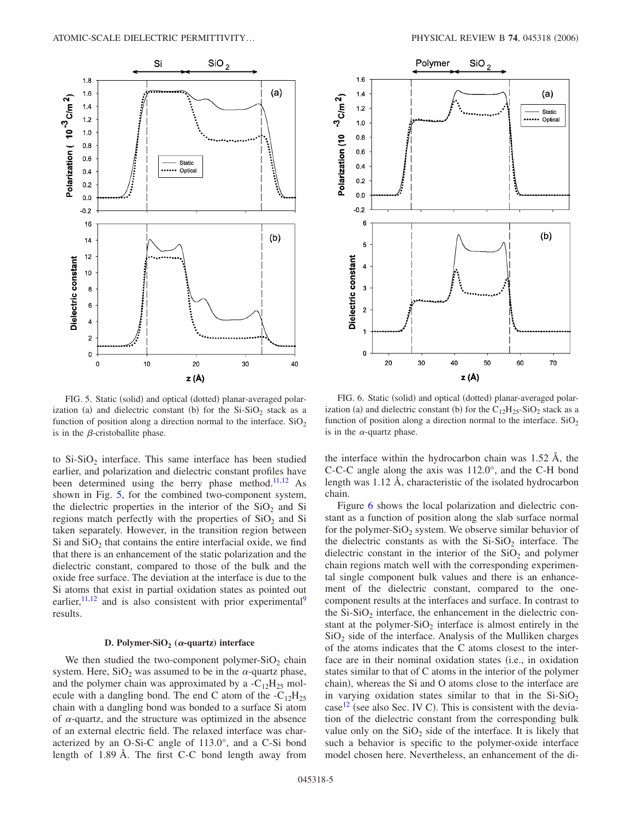<span id="page-4-0"></span>

<span id="page-4-1"></span>

FIG. 5. Static (solid) and optical (dotted) planar-averaged polarization (a) and dielectric constant (b) for the  $Si-SiO<sub>2</sub>$  stack as a function of position along a direction normal to the interface.  $SiO<sub>2</sub>$ is in the  $\beta$ -cristoballite phase.

to  $Si-SiO<sub>2</sub>$  interface. This same interface has been studied earlier, and polarization and dielectric constant profiles have been determined using the berry phase method. $11,12$  $11,12$  As shown in Fig. [5,](#page-4-0) for the combined two-component system, the dielectric properties in the interior of the  $SiO<sub>2</sub>$  and Si regions match perfectly with the properties of  $SiO<sub>2</sub>$  and Si taken separately. However, in the transition region between Si and  $SiO<sub>2</sub>$  that contains the entire interfacial oxide, we find that there is an enhancement of the static polarization and the dielectric constant, compared to those of the bulk and the oxide free surface. The deviation at the interface is due to the Si atoms that exist in partial oxidation states as pointed out earlier,<sup>11[,12](#page-5-7)</sup> and is also consistent with prior experimental<sup>9</sup> results.

### **D. Polymer-SiO<sub>2</sub> (** $\alpha$ **-quartz) interface**

We then studied the two-component polymer-SiO<sub>2</sub> chain system. Here,  $SiO<sub>2</sub>$  was assumed to be in the  $\alpha$ -quartz phase, and the polymer chain was approximated by a  $-C_{12}H_{25}$  molecule with a dangling bond. The end C atom of the  $-C_{12}H_{25}$ chain with a dangling bond was bonded to a surface Si atom of  $\alpha$ -quartz, and the structure was optimized in the absence of an external electric field. The relaxed interface was characterized by an O-Si-C angle of 113.0°, and a C-Si bond length of 1.89 Å. The first C-C bond length away from

FIG. 6. Static (solid) and optical (dotted) planar-averaged polarization (a) and dielectric constant (b) for the  $C_{12}H_{25}$ -SiO<sub>2</sub> stack as a function of position along a direction normal to the interface.  $SiO<sub>2</sub>$ is in the  $\alpha$ -quartz phase.

the interface within the hydrocarbon chain was 1.52 Å, the C-C-C angle along the axis was 112.0°, and the C-H bond length was 1.12 Å, characteristic of the isolated hydrocarbon chain.

Figure [6](#page-4-1) shows the local polarization and dielectric constant as a function of position along the slab surface normal for the polymer-SiO<sub>2</sub> system. We observe similar behavior of the dielectric constants as with the  $Si-SiO<sub>2</sub>$  interface. The dielectric constant in the interior of the  $SiO<sub>2</sub>$  and polymer chain regions match well with the corresponding experimental single component bulk values and there is an enhancement of the dielectric constant, compared to the onecomponent results at the interfaces and surface. In contrast to the  $Si-SiO<sub>2</sub>$  interface, the enhancement in the dielectric constant at the polymer- $SiO<sub>2</sub>$  interface is almost entirely in the  $SiO<sub>2</sub>$  side of the interface. Analysis of the Mulliken charges of the atoms indicates that the C atoms closest to the interface are in their nominal oxidation states (i.e., in oxidation states similar to that of C atoms in the interior of the polymer chain), whereas the Si and O atoms close to the interface are in varying oxidation states similar to that in the  $Si-SiO<sub>2</sub>$ case<sup>12</sup> (see also Sec. IV C). This is consistent with the deviation of the dielectric constant from the corresponding bulk value only on the  $SiO<sub>2</sub>$  side of the interface. It is likely that such a behavior is specific to the polymer-oxide interface model chosen here. Nevertheless, an enhancement of the di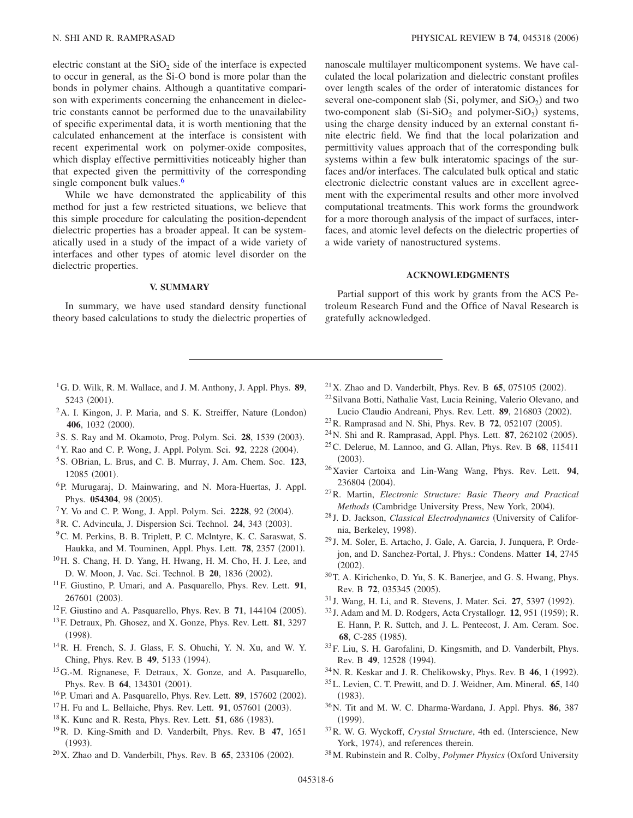electric constant at the  $SiO<sub>2</sub>$  side of the interface is expected to occur in general, as the Si-O bond is more polar than the bonds in polymer chains. Although a quantitative comparison with experiments concerning the enhancement in dielectric constants cannot be performed due to the unavailability of specific experimental data, it is worth mentioning that the calculated enhancement at the interface is consistent with recent experimental work on polymer-oxide composites, which display effective permittivities noticeably higher than that expected given the permittivity of the corresponding single component bulk values.<sup>6</sup>

While we have demonstrated the applicability of this method for just a few restricted situations, we believe that this simple procedure for calculating the position-dependent dielectric properties has a broader appeal. It can be systematically used in a study of the impact of a wide variety of interfaces and other types of atomic level disorder on the dielectric properties.

### **V. SUMMARY**

In summary, we have used standard density functional theory based calculations to study the dielectric properties of nanoscale multilayer multicomponent systems. We have calculated the local polarization and dielectric constant profiles over length scales of the order of interatomic distances for several one-component slab  $(Si, polymer, and SiO<sub>2</sub>)$  and two two-component slab  $(Si-SiO<sub>2</sub>)$  and polymer-SiO<sub>2</sub>) systems, using the charge density induced by an external constant finite electric field. We find that the local polarization and permittivity values approach that of the corresponding bulk systems within a few bulk interatomic spacings of the surfaces and/or interfaces. The calculated bulk optical and static electronic dielectric constant values are in excellent agreement with the experimental results and other more involved computational treatments. This work forms the groundwork for a more thorough analysis of the impact of surfaces, interfaces, and atomic level defects on the dielectric properties of a wide variety of nanostructured systems.

# **ACKNOWLEDGMENTS**

Partial support of this work by grants from the ACS Petroleum Research Fund and the Office of Naval Research is gratefully acknowledged.

- <span id="page-5-0"></span>1G. D. Wilk, R. M. Wallace, and J. M. Anthony, J. Appl. Phys. **89**, 5243 (2001).
- <span id="page-5-1"></span><sup>2</sup>A. I. Kingon, J. P. Maria, and S. K. Streiffer, Nature (London) 406, 1032 (2000).
- <span id="page-5-2"></span><sup>3</sup> S. S. Ray and M. Okamoto, Prog. Polym. Sci. 28, 1539 (2003).
- <sup>4</sup> Y. Rao and C. P. Wong, J. Appl. Polym. Sci. 92, 2228 (2004).
- 5S. OBrian, L. Brus, and C. B. Murray, J. Am. Chem. Soc. **123**, 12085 (2001).
- <span id="page-5-8"></span>6P. Murugaraj, D. Mainwaring, and N. Mora-Huertas, J. Appl. Phys. 054304, 98 (2005).
- <sup>7</sup> Y. Vo and C. P. Wong, J. Appl. Polym. Sci. 2228, 92 (2004).
- <span id="page-5-3"></span><sup>8</sup> R. C. Advincula, J. Dispersion Sci. Technol. **24**, 343 (2003).
- <span id="page-5-4"></span><sup>9</sup>C. M. Perkins, B. B. Triplett, P. C. Mclntyre, K. C. Saraswat, S. Haukka, and M. Touminen, Appl. Phys. Lett. **78**, 2357 (2001).
- <span id="page-5-5"></span>10H. S. Chang, H. D. Yang, H. Hwang, H. M. Cho, H. J. Lee, and D. W. Moon, J. Vac. Sci. Technol. B 20, 1836 (2002).
- <span id="page-5-6"></span>11F. Giustino, P. Umari, and A. Pasquarello, Phys. Rev. Lett. **91**, 267601 (2003).
- <span id="page-5-7"></span> $12$  F. Giustino and A. Pasquarello, Phys. Rev. B  $71$ , 144104 (2005).
- <span id="page-5-9"></span>13F. Detraux, Ph. Ghosez, and X. Gonze, Phys. Rev. Lett. **81**, 3297  $(1998).$
- 14R. H. French, S. J. Glass, F. S. Ohuchi, Y. N. Xu, and W. Y. Ching, Phys. Rev. B 49, 5133 (1994).
- 15G.-M. Rignanese, F. Detraux, X. Gonze, and A. Pasquarello, Phys. Rev. B **64**, 134301 (2001).
- <sup>16</sup>P. Umari and A. Pasquarello, Phys. Rev. Lett. **89**, 157602 (2002).
- <sup>17</sup>H. Fu and L. Bellaiche, Phys. Rev. Lett. **91**, 057601 (2003).
- <sup>18</sup> K. Kunc and R. Resta, Phys. Rev. Lett. **51**, 686 (1983).
- 19R. D. King-Smith and D. Vanderbilt, Phys. Rev. B **47**, 1651  $(1993).$
- $^{20}$ X. Zhao and D. Vanderbilt, Phys. Rev. B  $65$ , 233106 (2002).
- <span id="page-5-10"></span> $^{21}$ X. Zhao and D. Vanderbilt, Phys. Rev. B 65, 075105 (2002).
- <span id="page-5-11"></span>22Silvana Botti, Nathalie Vast, Lucia Reining, Valerio Olevano, and Lucio Claudio Andreani, Phys. Rev. Lett. 89, 216803 (2002).
- <span id="page-5-12"></span><sup>23</sup> R. Ramprasad and N. Shi, Phys. Rev. B **72**, 052107 (2005).
- <span id="page-5-13"></span><sup>24</sup> N. Shi and R. Ramprasad, Appl. Phys. Lett. **87**, 262102 (2005).
- <span id="page-5-14"></span>25C. Delerue, M. Lannoo, and G. Allan, Phys. Rev. B **68**, 115411  $(2003).$
- <span id="page-5-15"></span>26Xavier Cartoixa and Lin-Wang Wang, Phys. Rev. Lett. **94**, 236804 (2004).
- <span id="page-5-17"></span>27R. Martin, *Electronic Structure: Basic Theory and Practical* Methods (Cambridge University Press, New York, 2004).
- <span id="page-5-16"></span><sup>28</sup> J. D. Jackson, *Classical Electrodynamics* University of California, Berkeley, 1998).
- <span id="page-5-18"></span><sup>29</sup> J. M. Soler, E. Artacho, J. Gale, A. Garcia, J. Junquera, P. Ordejon, and D. Sanchez-Portal, J. Phys.: Condens. Matter **14**, 2745  $(2002).$
- <span id="page-5-19"></span>30T. A. Kirichenko, D. Yu, S. K. Banerjee, and G. S. Hwang, Phys. Rev. B 72, 035345 (2005).
- <span id="page-5-20"></span><sup>31</sup> J. Wang, H. Li, and R. Stevens, J. Mater. Sci. 27, 5397 (1992).
- <span id="page-5-21"></span> $32$  J. Adam and M. D. Rodgers, Acta Crystallogr. **12**, 951 (1959); R. E. Hann, P. R. Suttch, and J. L. Pentecost, J. Am. Ceram. Soc. 68, C-285 (1985).
- <span id="page-5-22"></span>33F. Liu, S. H. Garofalini, D. Kingsmith, and D. Vanderbilt, Phys. Rev. B 49, 12528 (1994).
- <span id="page-5-23"></span><sup>34</sup> N. R. Keskar and J. R. Chelikowsky, Phys. Rev. B **46**, 1 (1992).
- <span id="page-5-24"></span>35L. Levien, C. T. Prewitt, and D. J. Weidner, Am. Mineral. **65**, 140  $(1983).$
- <span id="page-5-25"></span>36N. Tit and M. W. C. Dharma-Wardana, J. Appl. Phys. **86**, 387  $(1999).$
- <span id="page-5-26"></span><sup>37</sup> R. W. G. Wyckoff, *Crystal Structure*, 4th ed. (Interscience, New York, 1974), and references therein.
- <span id="page-5-27"></span>38M. Rubinstein and R. Colby, *Polymer Physics* Oxford University